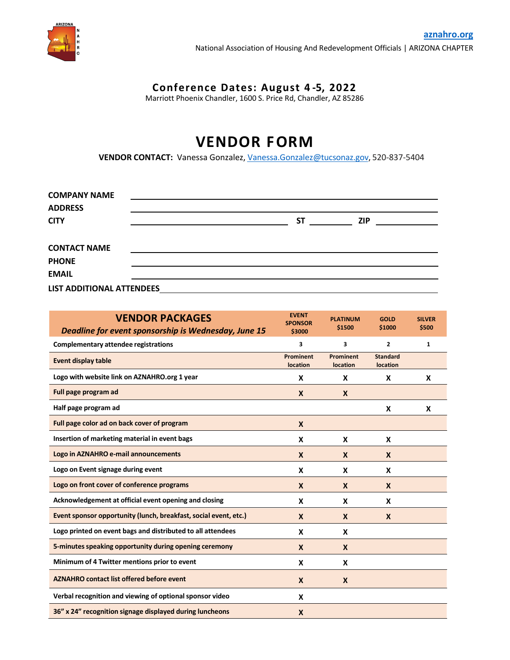

## **Conference Dates: August 4 -5, 2022**

Marriott Phoenix Chandler, 1600 S. Price Rd, Chandler, AZ 85286

## **VENDOR FORM**

**VENDOR CONTACT:** Vanessa Gonzalez, Vanessa.Gonzalez@tucsonaz.gov, 520-837-5404

| <b>COMPANY NAME</b><br><b>ADDRESS</b> |                                                         |                                                                                                                                                                                                                                |     |  |
|---------------------------------------|---------------------------------------------------------|--------------------------------------------------------------------------------------------------------------------------------------------------------------------------------------------------------------------------------|-----|--|
| <b>CITY</b>                           |                                                         | ST and the state of the state of the state of the state of the state of the state of the state of the state of the state of the state of the state of the state of the state of the state of the state of the state of the sta | ZIP |  |
| <b>CONTACT NAME</b>                   |                                                         |                                                                                                                                                                                                                                |     |  |
| <b>PHONE</b>                          |                                                         |                                                                                                                                                                                                                                |     |  |
| <b>EMAIL</b>                          | <u> 1989 - John Stone, Amerikaans en Stone († 1989)</u> |                                                                                                                                                                                                                                |     |  |
| LIST ADDITIONAL ATTENDEES             |                                                         |                                                                                                                                                                                                                                |     |  |

| <b>VENDOR PACKAGES</b><br>Deadline for event sponsorship is Wednesday, June 15 | <b>EVENT</b><br><b>SPONSOR</b><br>\$3000 | <b>PLATINUM</b><br>\$1500 | <b>GOLD</b><br>\$1000       | <b>SILVER</b><br>\$500 |
|--------------------------------------------------------------------------------|------------------------------------------|---------------------------|-----------------------------|------------------------|
| <b>Complementary attendee registrations</b>                                    | 3                                        | 3                         | $\overline{2}$              | $\mathbf{1}$           |
| <b>Event display table</b>                                                     | Prominent<br>location                    | Prominent<br>location     | <b>Standard</b><br>location |                        |
| Logo with website link on AZNAHRO.org 1 year                                   | X                                        | X                         | X                           | X                      |
| Full page program ad                                                           | $\mathbf{x}$                             | $\boldsymbol{x}$          |                             |                        |
| Half page program ad                                                           |                                          |                           | X                           | X                      |
| Full page color ad on back cover of program                                    | $\mathbf{x}$                             |                           |                             |                        |
| Insertion of marketing material in event bags                                  | X                                        | x                         | X                           |                        |
| Logo in AZNAHRO e-mail announcements                                           | $\boldsymbol{x}$                         | X                         | $\boldsymbol{x}$            |                        |
| Logo on Event signage during event                                             | X                                        | X                         | X                           |                        |
| Logo on front cover of conference programs                                     | $\mathbf{x}$                             | $\mathbf{x}$              | $\mathbf{x}$                |                        |
| Acknowledgement at official event opening and closing                          | X                                        | X                         | X                           |                        |
| Event sponsor opportunity (lunch, breakfast, social event, etc.)               | $\boldsymbol{x}$                         | $\boldsymbol{x}$          | $\boldsymbol{x}$            |                        |
| Logo printed on event bags and distributed to all attendees                    | X                                        | X                         |                             |                        |
| 5-minutes speaking opportunity during opening ceremony                         | $\mathbf x$                              | X                         |                             |                        |
| Minimum of 4 Twitter mentions prior to event                                   | X                                        | X                         |                             |                        |
| <b>AZNAHRO contact list offered before event</b>                               | $\mathsf{x}$                             | X                         |                             |                        |
| Verbal recognition and viewing of optional sponsor video                       | X                                        |                           |                             |                        |
| 36" x 24" recognition signage displayed during luncheons                       | X                                        |                           |                             |                        |